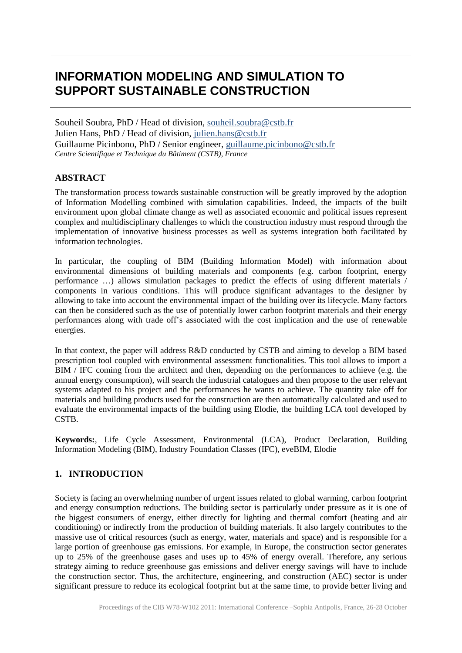# **INFORMATION MODELING AND SIMULATION TO SUPPORT SUSTAINABLE CONSTRUCTION**

Souheil Soubra, PhD / Head of division, [souheil.soubra@cstb.fr](mailto:souheil.soubra@cstb.fr) Julien Hans, PhD / Head of division, [julien.hans@cstb.fr](mailto:julien.hans@cstb.fr) Guillaume Picinbono, PhD / Senior engineer, [guillaume.picinbono@cstb.fr](mailto:guillaume.picinbono@cstb.fr) *Centre Scientifique et Technique du Bâtiment (CSTB), France*

### **ABSTRACT**

The transformation process towards sustainable construction will be greatly improved by the adoption of Information Modelling combined with simulation capabilities. Indeed, the impacts of the built environment upon global climate change as well as associated economic and political issues represent complex and multidisciplinary challenges to which the construction industry must respond through the implementation of innovative business processes as well as systems integration both facilitated by information technologies.

In particular, the coupling of BIM (Building Information Model) with information about environmental dimensions of building materials and components (e.g. carbon footprint, energy performance …) allows simulation packages to predict the effects of using different materials / components in various conditions. This will produce significant advantages to the designer by allowing to take into account the environmental impact of the building over its lifecycle. Many factors can then be considered such as the use of potentially lower carbon footprint materials and their energy performances along with trade off's associated with the cost implication and the use of renewable energies.

In that context, the paper will address R&D conducted by CSTB and aiming to develop a BIM based prescription tool coupled with environmental assessment functionalities. This tool allows to import a BIM / IFC coming from the architect and then, depending on the performances to achieve (e.g. the annual energy consumption), will search the industrial catalogues and then propose to the user relevant systems adapted to his project and the performances he wants to achieve. The quantity take off for materials and building products used for the construction are then automatically calculated and used to evaluate the environmental impacts of the building using Elodie, the building LCA tool developed by CSTB.

**Keywords:**, Life Cycle Assessment, Environmental (LCA), Product Declaration, Building Information Modeling (BIM), Industry Foundation Classes (IFC), eveBIM, Elodie

# **1. INTRODUCTION**

Society is facing an overwhelming number of urgent issues related to global warming, carbon footprint and energy consumption reductions. The building sector is particularly under pressure as it is one of the biggest consumers of energy, either directly for lighting and thermal comfort (heating and air conditioning) or indirectly from the production of building materials. It also largely contributes to the massive use of critical resources (such as energy, water, materials and space) and is responsible for a large portion of greenhouse gas emissions. For example, in Europe, the construction sector generates up to 25% of the greenhouse gases and uses up to 45% of energy overall. Therefore, any serious strategy aiming to reduce greenhouse gas emissions and deliver energy savings will have to include the construction sector. Thus, the architecture, engineering, and construction (AEC) sector is under significant pressure to reduce its ecological footprint but at the same time, to provide better living and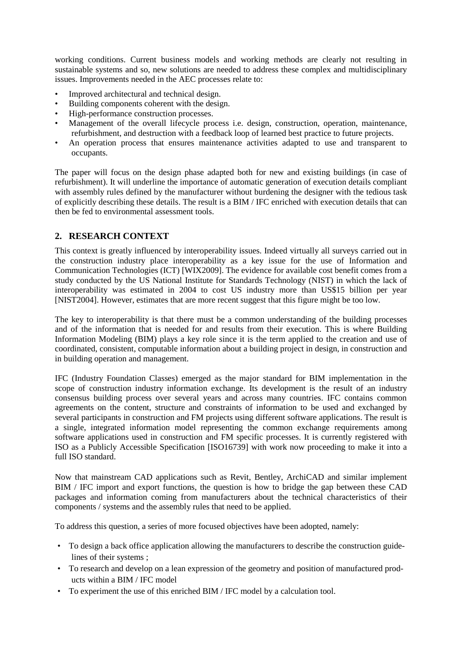working conditions. Current business models and working methods are clearly not resulting in sustainable systems and so, new solutions are needed to address these complex and multidisciplinary issues. Improvements needed in the AEC processes relate to:

- Improved architectural and technical design.
- Building components coherent with the design.
- High-performance construction processes.
- Management of the overall lifecycle process i.e. design, construction, operation, maintenance, refurbishment, and destruction with a feedback loop of learned best practice to future projects.
- An operation process that ensures maintenance activities adapted to use and transparent to occupants.

The paper will focus on the design phase adapted both for new and existing buildings (in case of refurbishment). It will underline the importance of automatic generation of execution details compliant with assembly rules defined by the manufacturer without burdening the designer with the tedious task of explicitly describing these details. The result is a BIM / IFC enriched with execution details that can then be fed to environmental assessment tools.

### **2. RESEARCH CONTEXT**

This context is greatly influenced by interoperability issues. Indeed virtually all surveys carried out in the construction industry place interoperability as a key issue for the use of Information and Communication Technologies (ICT) [WIX2009]. The evidence for available cost benefit comes from a study conducted by the US National Institute for Standards Technology (NIST) in which the lack of interoperability was estimated in 2004 to cost US industry more than US\$15 billion per year [NIST2004]. However, estimates that are more recent suggest that this figure might be too low.

The key to interoperability is that there must be a common understanding of the building processes and of the information that is needed for and results from their execution. This is where Building Information Modeling (BIM) plays a key role since it is the term applied to the creation and use of coordinated, consistent, computable information about a building project in design, in construction and in building operation and management.

IFC (Industry Foundation Classes) emerged as the major standard for BIM implementation in the scope of construction industry information exchange. Its development is the result of an industry consensus building process over several years and across many countries. IFC contains common agreements on the content, structure and constraints of information to be used and exchanged by several participants in construction and FM projects using different software applications. The result is a single, integrated information model representing the common exchange requirements among software applications used in construction and FM specific processes. It is currently registered with ISO as a Publicly Accessible Specification [ISO16739] with work now proceeding to make it into a full ISO standard.

Now that mainstream CAD applications such as Revit, Bentley, ArchiCAD and similar implement BIM / IFC import and export functions, the question is how to bridge the gap between these CAD packages and information coming from manufacturers about the technical characteristics of their components / systems and the assembly rules that need to be applied.

To address this question, a series of more focused objectives have been adopted, namely:

- To design a back office application allowing the manufacturers to describe the construction guidelines of their systems ;
- To research and develop on a lean expression of the geometry and position of manufactured products within a BIM / IFC model
- To experiment the use of this enriched BIM / IFC model by a calculation tool.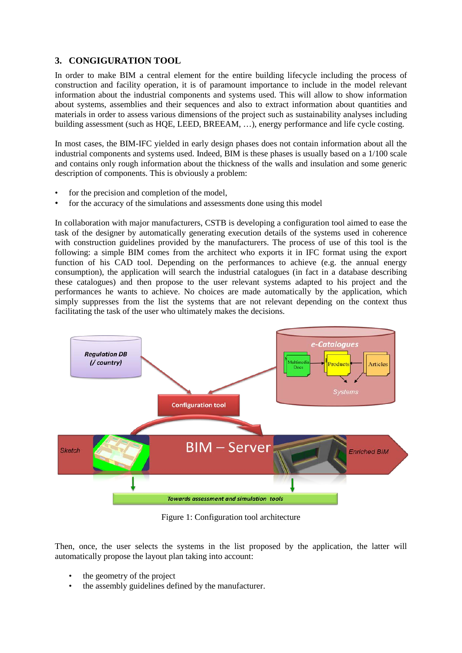# **3. CONGIGURATION TOOL**

In order to make BIM a central element for the entire building lifecycle including the process of construction and facility operation, it is of paramount importance to include in the model relevant information about the industrial components and systems used. This will allow to show information about systems, assemblies and their sequences and also to extract information about quantities and materials in order to assess various dimensions of the project such as sustainability analyses including building assessment (such as HQE, LEED, BREEAM, …), energy performance and life cycle costing.

In most cases, the BIM-IFC yielded in early design phases does not contain information about all the industrial components and systems used. Indeed, BIM is these phases is usually based on a 1/100 scale and contains only rough information about the thickness of the walls and insulation and some generic description of components. This is obviously a problem:

- for the precision and completion of the model,
- for the accuracy of the simulations and assessments done using this model

In collaboration with major manufacturers, CSTB is developing a configuration tool aimed to ease the task of the designer by automatically generating execution details of the systems used in coherence with construction guidelines provided by the manufacturers. The process of use of this tool is the following: a simple BIM comes from the architect who exports it in IFC format using the export function of his CAD tool. Depending on the performances to achieve (e.g. the annual energy consumption), the application will search the industrial catalogues (in fact in a database describing these catalogues) and then propose to the user relevant systems adapted to his project and the performances he wants to achieve. No choices are made automatically by the application, which simply suppresses from the list the systems that are not relevant depending on the context thus facilitating the task of the user who ultimately makes the decisions.



Figure 1: Configuration tool architecture

Then, once, the user selects the systems in the list proposed by the application, the latter will automatically propose the layout plan taking into account:

- the geometry of the project
- the assembly guidelines defined by the manufacturer.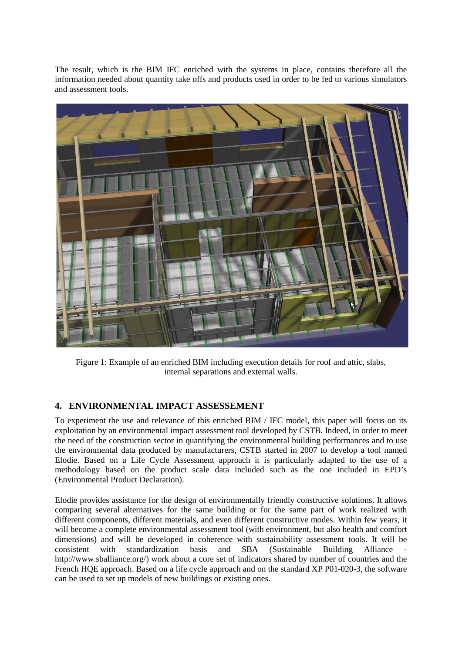The result, which is the BIM IFC enriched with the systems in place, contains therefore all the information needed about quantity take offs and products used in order to be fed to various simulators and assessment tools.



Figure 1: Example of an enriched BIM including execution details for roof and attic, slabs, internal separations and external walls.

# **4. ENVIRONMENTAL IMPACT ASSESSEMENT**

To experiment the use and relevance of this enriched BIM / IFC model, this paper will focus on its exploitation by an environmental impact assessment tool developed by CSTB. Indeed, in order to meet the need of the construction sector in quantifying the environmental building performances and to use the environmental data produced by manufacturers, CSTB started in 2007 to develop a tool named Elodie. Based on a Life Cycle Assessment approach it is particularly adapted to the use of a methodology based on the product scale data included such as the one included in EPD's (Environmental Product Declaration).

Elodie provides assistance for the design of environmentally friendly constructive solutions. It allows comparing several alternatives for the same building or for the same part of work realized with different components, different materials, and even different constructive modes. Within few years, it will become a complete environmental assessment tool (with environment, but also health and comfort dimensions) and will be developed in coherence with sustainability assessment tools. It will be consistent with standardization basis and SBA (Sustainable Building Alliance http://www.sballiance.org/) work about a core set of indicators shared by number of countries and the French HQE approach. Based on a life cycle approach and on the standard XP P01-020-3, the software can be used to set up models of new buildings or existing ones.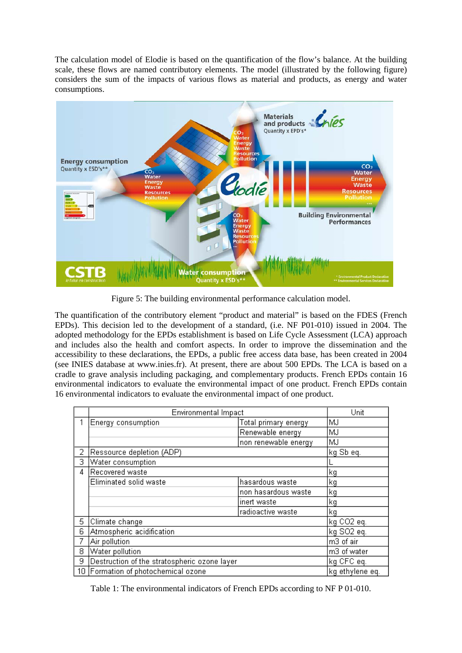The calculation model of Elodie is based on the quantification of the flow's balance. At the building scale, these flows are named contributory elements. The model (illustrated by the following figure) considers the sum of the impacts of various flows as material and products, as energy and water consumptions.



Figure 5: The building environmental performance calculation model.

The quantification of the contributory element "product and material" is based on the FDES (French EPDs). This decision led to the development of a standard, (i.e. NF P01-010) issued in 2004. The adopted methodology for the EPDs establishment is based on Life Cycle Assessment (LCA) approach and includes also the health and comfort aspects. In order to improve the dissemination and the accessibility to these declarations, the EPDs, a public free access data base, has been created in 2004 (see INIES database at www.inies.fr). At present, there are about 500 EPDs. The LCA is based on a cradle to grave analysis including packaging, and complementary products. French EPDs contain 16 environmental indicators to evaluate the environmental impact of one product. French EPDs contain 16 environmental indicators to evaluate the environmental impact of one product.

|   | <b>Environmental Impact</b>                  |                      | Unit        |
|---|----------------------------------------------|----------------------|-------------|
|   | Energy consumption                           | Total primary energy | MJ          |
|   |                                              | Renewable energy     | MJ          |
|   |                                              | non renewable energy | MJ          |
| 2 | Ressource depletion (ADP)                    |                      | kg Sb eq.   |
| 3 | Water consumption                            |                      |             |
| 4 | Recovered waste                              |                      | kg          |
|   | Eliminated solid waste                       | hasardous waste      | kg          |
|   |                                              | non hasardous waste  | kg          |
|   |                                              | inert waste          | kg          |
|   |                                              | radioactive waste    | kg          |
| 5 | Climate change                               |                      | kg CO2 eq.  |
| 6 | Atmospheric acidification                    |                      | kg SO2 eq.  |
|   | Air pollution                                |                      | m3 of air   |
| 8 | Water pollution                              |                      | m3 of water |
| 9 | Destruction of the stratospheric ozone layer |                      | kg CFC eq.  |
|   | 10 Formation of photochemical ozone          | kg ethylene eq.      |             |

Table 1: The environmental indicators of French EPDs according to NF P 01-010.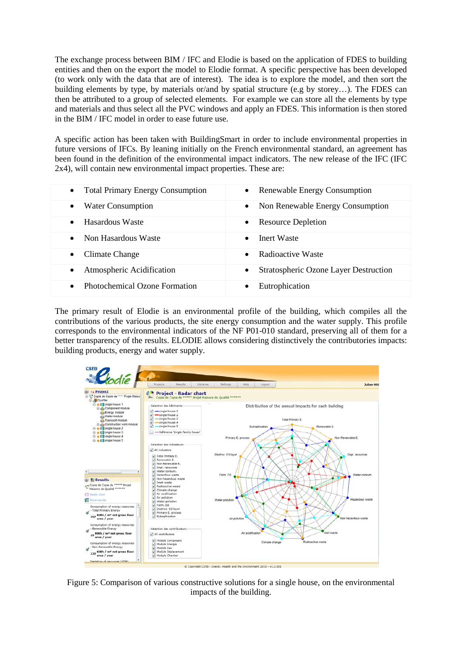The exchange process between BIM / IFC and Elodie is based on the application of FDES to building entities and then on the export the model to Elodie format. A specific perspective has been developed (to work only with the data that are of interest). The idea is to explore the model, and then sort the building elements by type, by materials or/and by spatial structure (e.g by storey…). The FDES can then be attributed to a group of selected elements. For example we can store all the elements by type and materials and thus select all the PVC windows and apply an FDES. This information is then stored in the BIM / IFC model in order to ease future use.

A specific action has been taken with BuildingSmart in order to include environmental properties in future versions of IFCs. By leaning initially on the French environmental standard, an agreement has been found in the definition of the environmental impact indicators. The new release of the IFC (IFC 2x4), will contain new environmental impact properties. These are:

| <b>Total Primary Energy Consumption</b><br>$\bullet$ | • Renewable Energy Consumption               |
|------------------------------------------------------|----------------------------------------------|
| <b>Water Consumption</b>                             | Non Renewable Energy Consumption             |
| $\bullet$                                            | $\bullet$                                    |
| Hasardous Waste                                      | <b>Resource Depletion</b>                    |
| $\bullet$                                            | $\bullet$                                    |
| Non Hasardous Waste                                  | Inert Waste                                  |
| $\bullet$                                            | $\bullet$                                    |
| Climate Change<br>$\bullet$                          | Radioactive Waste                            |
| Atmospheric Acidification                            | <b>Stratospheric Ozone Layer Destruction</b> |
| $\bullet$                                            | $\bullet$                                    |
| <b>Photochemical Ozone Formation</b><br>$\bullet$    | Eutrophication                               |

The primary result of Elodie is an environmental profile of the building, which compiles all the contributions of the various products, the site energy consumption and the water supply. This profile corresponds to the environmental indicators of the NF P01-010 standard, preserving all of them for a better transparency of the results. ELODIE allows considering distinctively the contributories impacts: building products, energy and water supply.



Figure 5: Comparison of various constructive solutions for a single house, on the environmental impacts of the building.